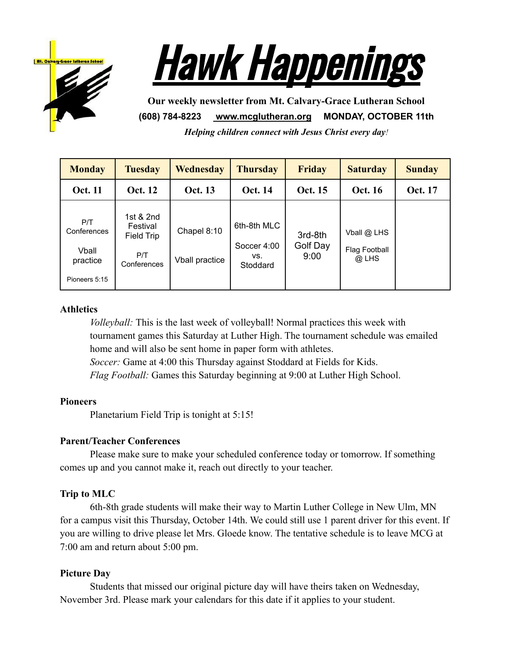



**Our weekly newsletter from Mt. Calvary-Grace Lutheran School (608) 784-8223 [www.mcglutheran.org](http://www.mcglutheran.org/) MONDAY, OCTOBER 11th**

*Helping children connect with Jesus Christ every day!*

| <b>Monday</b>                                            | <b>Tuesday</b>                                            | <b>Wednesday</b>              | <b>Thursday</b>                               | <b>Friday</b>               | <b>Saturday</b>                      | <b>Sunday</b>  |
|----------------------------------------------------------|-----------------------------------------------------------|-------------------------------|-----------------------------------------------|-----------------------------|--------------------------------------|----------------|
| <b>Oct. 11</b>                                           | <b>Oct. 12</b>                                            | <b>Oct. 13</b>                | <b>Oct. 14</b>                                | <b>Oct. 15</b>              | <b>Oct. 16</b>                       | <b>Oct. 17</b> |
| P/T<br>Conferences<br>Vball<br>practice<br>Pioneers 5:15 | 1st & 2nd<br>Festival<br>Field Trip<br>P/T<br>Conferences | Chapel 8:10<br>Vball practice | 6th-8th MLC<br>Soccer 4:00<br>VS.<br>Stoddard | 3rd-8th<br>Golf Day<br>9:00 | Vball @ LHS<br>Flag Football<br>@LHS |                |

#### **Athletics**

*Volleyball:* This is the last week of volleyball! Normal practices this week with tournament games this Saturday at Luther High. The tournament schedule was emailed home and will also be sent home in paper form with athletes. *Soccer:* Game at 4:00 this Thursday against Stoddard at Fields for Kids. *Flag Football:* Games this Saturday beginning at 9:00 at Luther High School.

#### **Pioneers**

Planetarium Field Trip is tonight at 5:15!

### **Parent/Teacher Conferences**

Please make sure to make your scheduled conference today or tomorrow. If something comes up and you cannot make it, reach out directly to your teacher.

### **Trip to MLC**

6th-8th grade students will make their way to Martin Luther College in New Ulm, MN for a campus visit this Thursday, October 14th. We could still use 1 parent driver for this event. If you are willing to drive please let Mrs. Gloede know. The tentative schedule is to leave MCG at 7:00 am and return about 5:00 pm.

### **Picture Day**

Students that missed our original picture day will have theirs taken on Wednesday, November 3rd. Please mark your calendars for this date if it applies to your student.